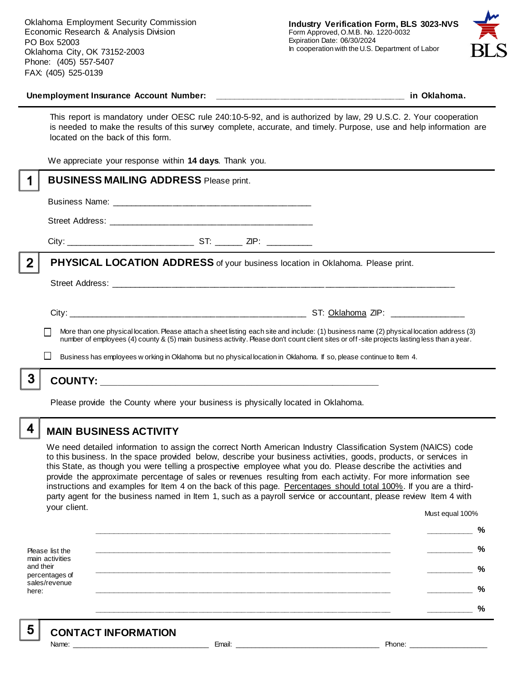

#### **Unemployment Insurance Account Number: \_\_\_\_\_\_\_\_\_\_\_\_\_\_\_\_\_\_\_\_\_\_\_\_\_\_\_\_\_\_\_\_\_\_\_\_\_\_\_\_ in Oklahoma.**

This report is mandatory under OESC rule 240:10-5-92, and is authorized by law, 29 U.S.C. 2. Your cooperation is needed to make the results of this survey complete, accurate, and timely. Purpose, use and help information are located on the back of this form.

We appreciate your response within **14 days**. Thank you.

|   | <b>BUSINESS MAILING ADDRESS Please print.</b>                                                                                                                                                                                                                                            |
|---|------------------------------------------------------------------------------------------------------------------------------------------------------------------------------------------------------------------------------------------------------------------------------------------|
|   |                                                                                                                                                                                                                                                                                          |
|   |                                                                                                                                                                                                                                                                                          |
|   |                                                                                                                                                                                                                                                                                          |
| 2 | PHYSICAL LOCATION ADDRESS of your business location in Oklahoma. Please print.                                                                                                                                                                                                           |
|   |                                                                                                                                                                                                                                                                                          |
|   |                                                                                                                                                                                                                                                                                          |
|   | More than one physical location. Please attach a sheet listing each site and include: (1) business name (2) physical location address (3)<br>number of employees (4) county & (5) main business activity. Please don't count client sites or off-site projects lasting less than a year. |
|   | Business has employees w orking in Oklahoma but no physical location in Oklahoma. If so, please continue to Item 4.                                                                                                                                                                      |
| 3 |                                                                                                                                                                                                                                                                                          |
|   | Please provide the County where your business is physically located in Oklahoma.                                                                                                                                                                                                         |

# **MAIN BUSINESS ACTIVITY**

We need detailed information to assign the correct North American Industry Classification System (NAICS) code to this business. In the space provided below, describe your business activities, goods, products, or services in this State, as though you were telling a prospective employee what you do. Please describe the activities and provide the approximate percentage of sales or revenues resulting from each activity. For more information see instructions and examples for Item 4 on the back of this page. Percentages should total 100%. If you are a thirdparty agent for the business named in Item 1, such as a payroll service or accountant, please review Item 4 with your client. Must equal 100%

Please list the main activities and their percentages of sales/revenue here: **\_\_\_\_\_\_\_\_\_\_\_\_\_\_\_\_\_\_\_\_\_\_\_\_\_\_\_\_\_\_\_\_\_\_\_\_\_\_\_\_\_\_\_\_\_\_\_\_\_\_\_\_\_\_\_\_\_\_\_\_\_\_ \_\_\_\_\_\_\_\_\_\_ % \_\_\_\_\_\_\_\_\_\_\_\_\_\_\_\_\_\_\_\_\_\_\_\_\_\_\_\_\_\_\_\_\_\_\_\_\_\_\_\_\_\_\_\_\_\_\_\_\_\_\_\_\_\_\_\_\_\_\_\_\_\_ \_\_\_\_\_\_\_\_\_\_ % \_\_\_\_\_\_\_\_\_\_\_\_\_\_\_\_\_\_\_\_\_\_\_\_\_\_\_\_\_\_\_\_\_\_\_\_\_\_\_\_\_\_\_\_\_\_\_\_\_\_\_\_\_\_\_\_\_\_\_\_\_\_ \_\_\_\_\_\_\_\_\_\_ % \_\_\_\_\_\_\_\_\_\_\_\_\_\_\_\_\_\_\_\_\_\_\_\_\_\_\_\_\_\_\_\_\_\_\_\_\_\_\_\_\_\_\_\_\_\_\_\_\_\_\_\_\_\_\_\_\_\_\_\_\_\_ \_\_\_\_\_\_\_\_\_\_ % \_\_\_\_\_\_\_\_\_\_\_\_\_\_\_\_\_\_\_\_\_\_\_\_\_\_\_\_\_\_\_\_\_\_\_\_\_\_\_\_\_\_\_\_\_\_\_\_\_\_\_\_\_\_\_\_\_\_\_\_\_\_ \_\_\_\_\_\_\_\_\_\_ %**

5

4